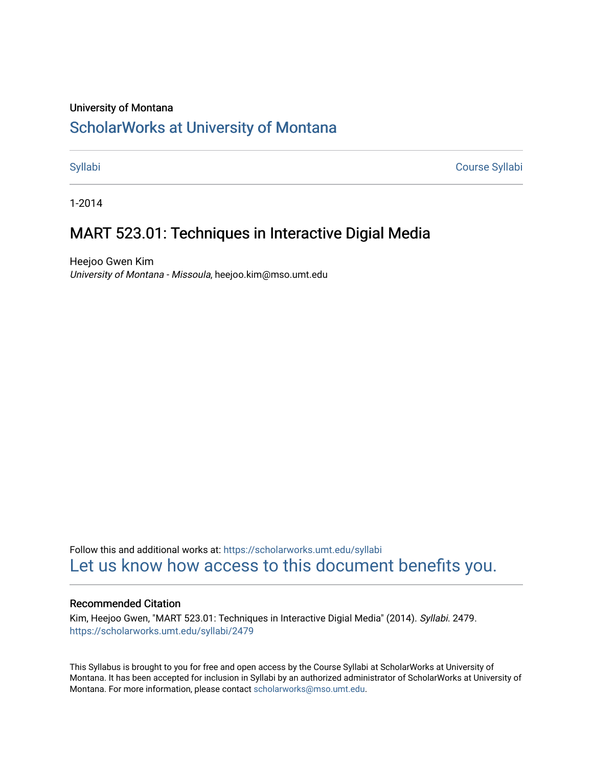#### University of Montana

# [ScholarWorks at University of Montana](https://scholarworks.umt.edu/)

[Syllabi](https://scholarworks.umt.edu/syllabi) [Course Syllabi](https://scholarworks.umt.edu/course_syllabi) 

1-2014

## MART 523.01: Techniques in Interactive Digial Media

Heejoo Gwen Kim University of Montana - Missoula, heejoo.kim@mso.umt.edu

Follow this and additional works at: [https://scholarworks.umt.edu/syllabi](https://scholarworks.umt.edu/syllabi?utm_source=scholarworks.umt.edu%2Fsyllabi%2F2479&utm_medium=PDF&utm_campaign=PDFCoverPages)  [Let us know how access to this document benefits you.](https://goo.gl/forms/s2rGfXOLzz71qgsB2) 

#### Recommended Citation

Kim, Heejoo Gwen, "MART 523.01: Techniques in Interactive Digial Media" (2014). Syllabi. 2479. [https://scholarworks.umt.edu/syllabi/2479](https://scholarworks.umt.edu/syllabi/2479?utm_source=scholarworks.umt.edu%2Fsyllabi%2F2479&utm_medium=PDF&utm_campaign=PDFCoverPages)

This Syllabus is brought to you for free and open access by the Course Syllabi at ScholarWorks at University of Montana. It has been accepted for inclusion in Syllabi by an authorized administrator of ScholarWorks at University of Montana. For more information, please contact [scholarworks@mso.umt.edu.](mailto:scholarworks@mso.umt.edu)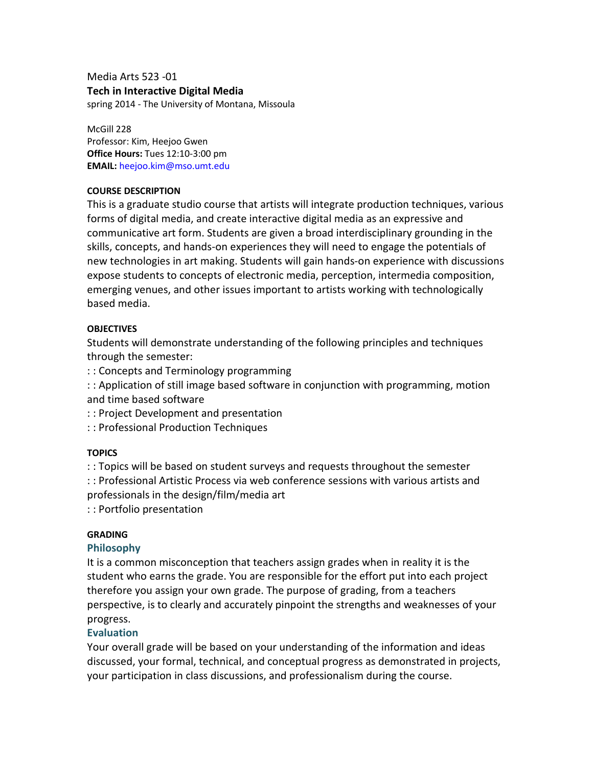Media Arts 523 -01 **Tech in Interactive Digital Media**  spring 2014 - The University of Montana, Missoula

McGill 228 Professor: Kim, Heejoo Gwen **Office Hours:** Tues 12:10-3:00 pm **EMAIL:** heejoo.kim@mso.umt.edu

#### **COURSE DESCRIPTION**

This is a graduate studio course that artists will integrate production techniques, various forms of digital media, and create interactive digital media as an expressive and communicative art form. Students are given a broad interdisciplinary grounding in the skills, concepts, and hands-on experiences they will need to engage the potentials of new technologies in art making. Students will gain hands-on experience with discussions expose students to concepts of electronic media, perception, intermedia composition, emerging venues, and other issues important to artists working with technologically based media.

#### **OBJECTIVES**

Students will demonstrate understanding of the following principles and techniques through the semester:

: : Concepts and Terminology programming

: : Application of still image based software in conjunction with programming, motion and time based software

: : Project Development and presentation

: : Professional Production Techniques

#### **TOPICS**

: : Topics will be based on student surveys and requests throughout the semester : : Professional Artistic Process via web conference sessions with various artists and professionals in the design/film/media art

: : Portfolio presentation

#### **GRADING**

#### **Philosophy**

It is a common misconception that teachers assign grades when in reality it is the student who earns the grade. You are responsible for the effort put into each project therefore you assign your own grade. The purpose of grading, from a teachers perspective, is to clearly and accurately pinpoint the strengths and weaknesses of your progress.

#### **Evaluation**

Your overall grade will be based on your understanding of the information and ideas discussed, your formal, technical, and conceptual progress as demonstrated in projects, your participation in class discussions, and professionalism during the course.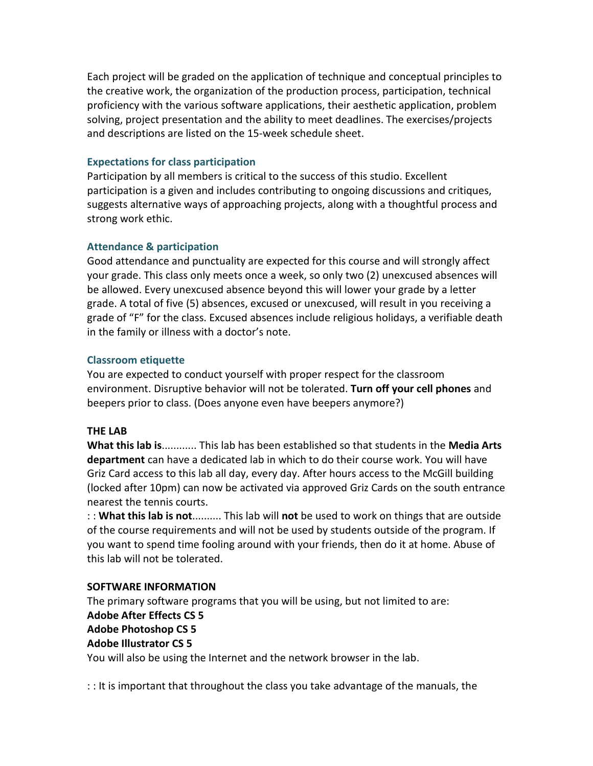Each project will be graded on the application of technique and conceptual principles to the creative work, the organization of the production process, participation, technical proficiency with the various software applications, their aesthetic application, problem solving, project presentation and the ability to meet deadlines. The exercises/projects and descriptions are listed on the 15-week schedule sheet.

### **Expectations for class participation**

Participation by all members is critical to the success of this studio. Excellent participation is a given and includes contributing to ongoing discussions and critiques, suggests alternative ways of approaching projects, along with a thoughtful process and strong work ethic.

### **Attendance & participation**

Good attendance and punctuality are expected for this course and will strongly affect your grade. This class only meets once a week, so only two (2) unexcused absences will be allowed. Every unexcused absence beyond this will lower your grade by a letter grade. A total of five (5) absences, excused or unexcused, will result in you receiving a grade of "F" for the class. Excused absences include religious holidays, a verifiable death in the family or illness with a doctor's note.

### **Classroom etiquette**

You are expected to conduct yourself with proper respect for the classroom environment. Disruptive behavior will not be tolerated. **Turn off your cell phones** and beepers prior to class. (Does anyone even have beepers anymore?)

## **THE LAB**

**What this lab is**............ This lab has been established so that students in the **Media Arts department** can have a dedicated lab in which to do their course work. You will have Griz Card access to this lab all day, every day. After hours access to the McGill building (locked after 10pm) can now be activated via approved Griz Cards on the south entrance nearest the tennis courts.

: : **What this lab is not**.......... This lab will **not** be used to work on things that are outside of the course requirements and will not be used by students outside of the program. If you want to spend time fooling around with your friends, then do it at home. Abuse of this lab will not be tolerated.

#### **SOFTWARE INFORMATION**

The primary software programs that you will be using, but not limited to are: **Adobe After Effects CS 5 Adobe Photoshop CS 5 Adobe Illustrator CS 5**

You will also be using the Internet and the network browser in the lab.

: : It is important that throughout the class you take advantage of the manuals, the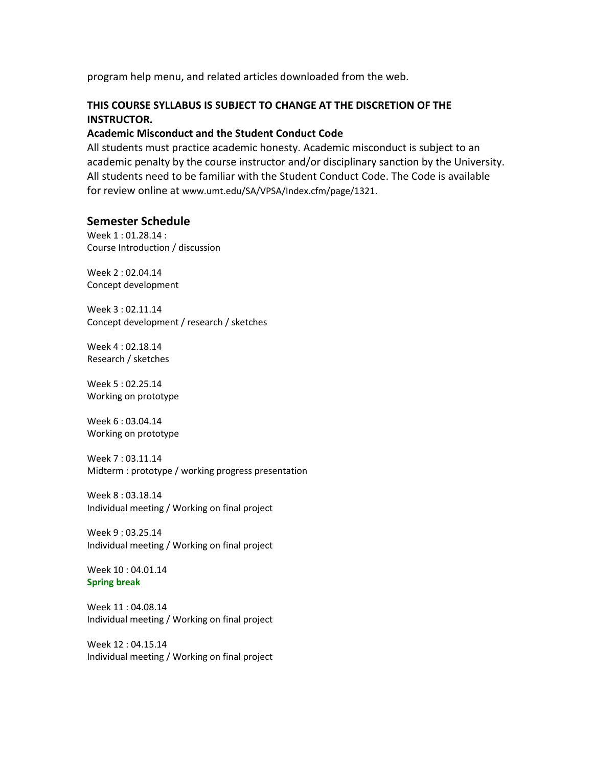program help menu, and related articles downloaded from the web.

### **THIS COURSE SYLLABUS IS SUBJECT TO CHANGE AT THE DISCRETION OF THE INSTRUCTOR.**

#### **Academic Misconduct and the Student Conduct Code**

All students must practice academic honesty. Academic misconduct is subject to an academic penalty by the course instructor and/or disciplinary sanction by the University. All students need to be familiar with the Student Conduct Code. The Code is available for review online at www.umt.edu/SA/VPSA/Index.cfm/page/1321.

### **Semester Schedule**

Week 1 : 01.28.14 : Course Introduction / discussion

Week 2 : 02.04.14 Concept development

Week 3 : 02.11.14 Concept development / research / sketches

Week 4 : 02.18.14 Research / sketches

Week 5 : 02.25.14 Working on prototype

Week 6 : 03.04.14 Working on prototype

Week 7 : 03.11.14 Midterm : prototype / working progress presentation

Week 8 : 03.18.14 Individual meeting / Working on final project

Week 9 : 03.25.14 Individual meeting / Working on final project

Week 10 : 04.01.14 **Spring break** 

Week 11 : 04.08.14 Individual meeting / Working on final project

Week 12 : 04.15.14 Individual meeting / Working on final project